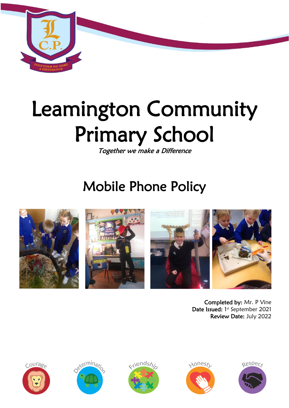

# Leamington Community Primary School

Together we make a Difference

# Mobile Phone Policy



Completed by: Mr. P Vine Date Issued: 1st September 2021 Review Date: July 2022









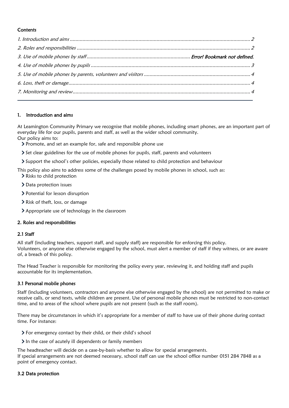# **Contents**

### <span id="page-1-0"></span>1. Introduction and aims

At Leamington Community Primary we recognise that mobile phones, including smart phones, are an important part of everyday life for our pupils, parents and staff, as well as the wider school community.

Our policy aims to:

- Promote, and set an example for, safe and responsible phone use
- Set clear guidelines for the use of mobile phones for pupils, staff, parents and volunteers
- Support the school's other policies, especially those related to child protection and behaviour

This policy also aims to address some of the challenges posed by mobile phones in school, such as: > Risks to child protection

- > Data protection issues
- > Potential for lesson disruption
- > Risk of theft, loss, or damage
- Appropriate use of technology in the classroom

# <span id="page-1-1"></span>2. Roles and responsibilities

# 2.1 Staff

All staff (including teachers, support staff, and supply staff) are responsible for enforcing this policy. Volunteers, or anyone else otherwise engaged by the school, must alert a member of staff if they witness, or are aware of, a breach of this policy.

The Head Teacher is responsible for monitoring the policy every year, reviewing it, and holding staff and pupils accountable for its implementation.

# 3.1 Personal mobile phones

Staff (including volunteers, contractors and anyone else otherwise engaged by the school) are not permitted to make or receive calls, or send texts, while children are present. Use of personal mobile phones must be restricted to non-contact time, and to areas of the school where pupils are not present (such as the staff room).

There may be circumstances in which it's appropriate for a member of staff to have use of their phone during contact time. For instance:

- For emergency contact by their child, or their child's school
- In the case of acutely ill dependents or family members

The headteacher will decide on a case-by-basis whether to allow for special arrangements. If special arrangements are not deemed necessary, school staff can use the school office number 0151 284 7848 as a point of emergency contact.

#### 3.2 Data protection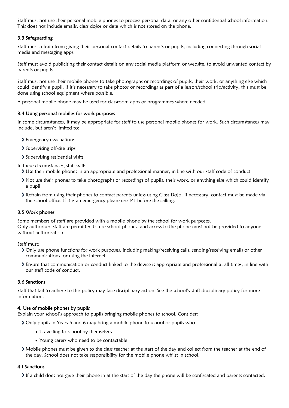Staff must not use their personal mobile phones to process personal data, or any other confidential school information. This does not include emails, class dojos or data which is not stored on the phone.

## 3.3 Safeguarding

Staff must refrain from giving their personal contact details to parents or pupils, including connecting through social media and messaging apps.

Staff must avoid publicising their contact details on any social media platform or website, to avoid unwanted contact by parents or pupils.

Staff must not use their mobile phones to take photographs or recordings of pupils, their work, or anything else which could identify a pupil. If it's necessary to take photos or recordings as part of a lesson/school trip/activity, this must be done using school equipment where possible.

A personal mobile phone may be used for classroom apps or programmes where needed.

#### 3.4 Using personal mobiles for work purposes

In some circumstances, it may be appropriate for staff to use personal mobile phones for work. Such circumstances may include, but aren't limited to:

- > Emergency evacuations
- > Supervising off-site trips
- > Supervising residential visits

In these circumstances, staff will:

- Use their mobile phones in an appropriate and professional manner, in line with our staff code of conduct
- Not use their phones to take photographs or recordings of pupils, their work, or anything else which could identify a pupil
- Refrain from using their phones to contact parents unless using Class Dojo. If necessary, contact must be made via the school office. If it is an emergency please use 141 before the calling.

#### 3.5 Work phones

Some members of staff are provided with a mobile phone by the school for work purposes. Only authorised staff are permitted to use school phones, and access to the phone must not be provided to anyone without authorisation.

Staff must:

- Only use phone functions for work purposes, including making/receiving calls, sending/receiving emails or other communications, or using the internet
- Ensure that communication or conduct linked to the device is appropriate and professional at all times, in line with our staff code of conduct.

#### 3.6 Sanctions

Staff that fail to adhere to this policy may face disciplinary action. See the school's staff disciplinary policy for more information.

#### <span id="page-2-0"></span>4. Use of mobile phones by pupils

Explain your school's approach to pupils bringing mobile phones to school. Consider:

Only pupils in Years 5 and 6 may bring a mobile phone to school or pupils who

- Travelling to school by themselves
- Young carers who need to be contactable
- Mobile phones must be given to the class teacher at the start of the day and collect from the teacher at the end of the day. School does not take responsibility for the mobile phone whilst in school.

#### 4.1 Sanctions

If a child does not give their phone in at the start of the day the phone will be confiscated and parents contacted.